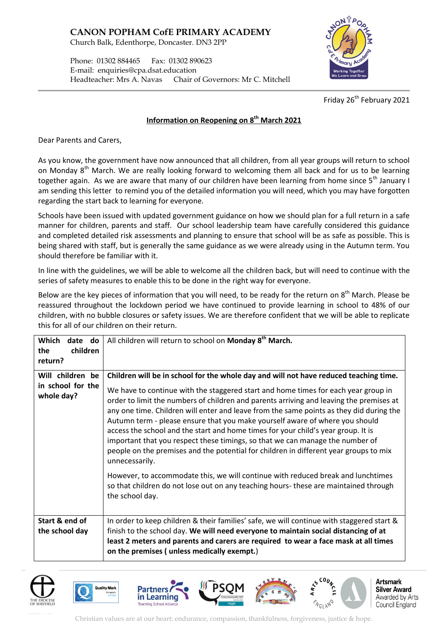Church Balk, Edenthorpe, Doncaster. DN3 2PP

Phone: 01302 884465 Fax: 01302 890623 E-mail: enquiries@cpa.dsat.education Headteacher: Mrs A. Navas Chair of Governors: Mr C. Mitchell



Friday 26<sup>th</sup> February 2021

## **Information on Reopening on 8th March 2021**

Dear Parents and Carers,

As you know, the government have now announced that all children, from all year groups will return to school on Monday 8<sup>th</sup> March. We are really looking forward to welcoming them all back and for us to be learning together again. As we are aware that many of our children have been learning from home since 5<sup>th</sup> January I am sending this letter to remind you of the detailed information you will need, which you may have forgotten regarding the start back to learning for everyone.

Schools have been issued with updated government guidance on how we should plan for a full return in a safe manner for children, parents and staff. Our school leadership team have carefully considered this guidance and completed detailed risk assessments and planning to ensure that school will be as safe as possible. This is being shared with staff, but is generally the same guidance as we were already using in the Autumn term. You should therefore be familiar with it.

In line with the guidelines, we will be able to welcome all the children back, but will need to continue with the series of safety measures to enable this to be done in the right way for everyone.

Below are the key pieces of information that you will need, to be ready for the return on  $8^{th}$  March. Please be reassured throughout the lockdown period we have continued to provide learning in school to 48% of our children, with no bubble closures or safety issues. We are therefore confident that we will be able to replicate this for all of our children on their return.

| Which<br>date do<br>children<br>the<br>return?      | All children will return to school on Monday 8 <sup>th</sup> March.                                                                                                                                                                                                                                                                                                                                                                                                                                                                                                                                                                                                                                                                                                                                                                                                                                                               |
|-----------------------------------------------------|-----------------------------------------------------------------------------------------------------------------------------------------------------------------------------------------------------------------------------------------------------------------------------------------------------------------------------------------------------------------------------------------------------------------------------------------------------------------------------------------------------------------------------------------------------------------------------------------------------------------------------------------------------------------------------------------------------------------------------------------------------------------------------------------------------------------------------------------------------------------------------------------------------------------------------------|
| Will children be<br>in school for the<br>whole day? | Children will be in school for the whole day and will not have reduced teaching time.<br>We have to continue with the staggered start and home times for each year group in<br>order to limit the numbers of children and parents arriving and leaving the premises at<br>any one time. Children will enter and leave from the same points as they did during the<br>Autumn term - please ensure that you make yourself aware of where you should<br>access the school and the start and home times for your child's year group. It is<br>important that you respect these timings, so that we can manage the number of<br>people on the premises and the potential for children in different year groups to mix<br>unnecessarily.<br>However, to accommodate this, we will continue with reduced break and lunchtimes<br>so that children do not lose out on any teaching hours- these are maintained through<br>the school day. |
| Start & end of<br>the school day                    | In order to keep children & their families' safe, we will continue with staggered start &<br>finish to the school day. We will need everyone to maintain social distancing of at<br>least 2 meters and parents and carers are required to wear a face mask at all times<br>on the premises (unless medically exempt.)                                                                                                                                                                                                                                                                                                                                                                                                                                                                                                                                                                                                             |













**Artsmark Silver Award** Awarded by Arts Council England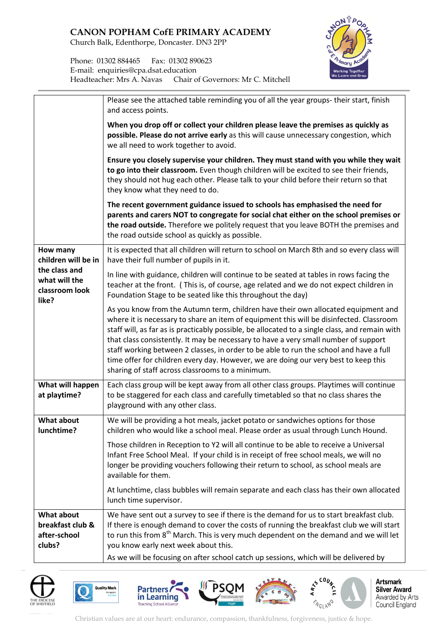Church Balk, Edenthorpe, Doncaster. DN3 2PP



Phone: 01302 884465 Fax: 01302 890623 E-mail: enquiries@cpa.dsat.education Headteacher: Mrs A. Navas Chair of Governors: Mr C. Mitchell

|                                                                 | Please see the attached table reminding you of all the year groups- their start, finish<br>and access points.                                                                                                                                                                                                                                                                                                                                                                                                                                                                                              |  |
|-----------------------------------------------------------------|------------------------------------------------------------------------------------------------------------------------------------------------------------------------------------------------------------------------------------------------------------------------------------------------------------------------------------------------------------------------------------------------------------------------------------------------------------------------------------------------------------------------------------------------------------------------------------------------------------|--|
|                                                                 | When you drop off or collect your children please leave the premises as quickly as<br>possible. Please do not arrive early as this will cause unnecessary congestion, which<br>we all need to work together to avoid.                                                                                                                                                                                                                                                                                                                                                                                      |  |
|                                                                 | Ensure you closely supervise your children. They must stand with you while they wait<br>to go into their classroom. Even though children will be excited to see their friends,<br>they should not hug each other. Please talk to your child before their return so that<br>they know what they need to do.                                                                                                                                                                                                                                                                                                 |  |
|                                                                 | The recent government guidance issued to schools has emphasised the need for<br>parents and carers NOT to congregate for social chat either on the school premises or<br>the road outside. Therefore we politely request that you leave BOTH the premises and<br>the road outside school as quickly as possible.                                                                                                                                                                                                                                                                                           |  |
| How many<br>children will be in                                 | It is expected that all children will return to school on March 8th and so every class will<br>have their full number of pupils in it.                                                                                                                                                                                                                                                                                                                                                                                                                                                                     |  |
| the class and<br>what will the<br>classroom look<br>like?       | In line with guidance, children will continue to be seated at tables in rows facing the<br>teacher at the front. (This is, of course, age related and we do not expect children in<br>Foundation Stage to be seated like this throughout the day)                                                                                                                                                                                                                                                                                                                                                          |  |
|                                                                 | As you know from the Autumn term, children have their own allocated equipment and<br>where it is necessary to share an item of equipment this will be disinfected. Classroom<br>staff will, as far as is practicably possible, be allocated to a single class, and remain with<br>that class consistently. It may be necessary to have a very small number of support<br>staff working between 2 classes, in order to be able to run the school and have a full<br>time offer for children every day. However, we are doing our very best to keep this<br>sharing of staff across classrooms to a minimum. |  |
| What will happen<br>at playtime?                                | Each class group will be kept away from all other class groups. Playtimes will continue<br>to be staggered for each class and carefully timetabled so that no class shares the<br>playground with any other class.                                                                                                                                                                                                                                                                                                                                                                                         |  |
| <b>What about</b><br>lunchtime?                                 | We will be providing a hot meals, jacket potato or sandwiches options for those<br>children who would like a school meal. Please order as usual through Lunch Hound.                                                                                                                                                                                                                                                                                                                                                                                                                                       |  |
|                                                                 | Those children in Reception to Y2 will all continue to be able to receive a Universal<br>Infant Free School Meal. If your child is in receipt of free school meals, we will no<br>longer be providing vouchers following their return to school, as school meals are<br>available for them.                                                                                                                                                                                                                                                                                                                |  |
|                                                                 | At lunchtime, class bubbles will remain separate and each class has their own allocated<br>lunch time supervisor.                                                                                                                                                                                                                                                                                                                                                                                                                                                                                          |  |
| <b>What about</b><br>breakfast club &<br>after-school<br>clubs? | We have sent out a survey to see if there is the demand for us to start breakfast club.<br>If there is enough demand to cover the costs of running the breakfast club we will start<br>to run this from 8 <sup>th</sup> March. This is very much dependent on the demand and we will let<br>you know early next week about this.                                                                                                                                                                                                                                                                           |  |
|                                                                 | As we will be focusing on after school catch up sessions, which will be delivered by                                                                                                                                                                                                                                                                                                                                                                                                                                                                                                                       |  |















**Artsmark Silver Award** Awarded by Arts Council England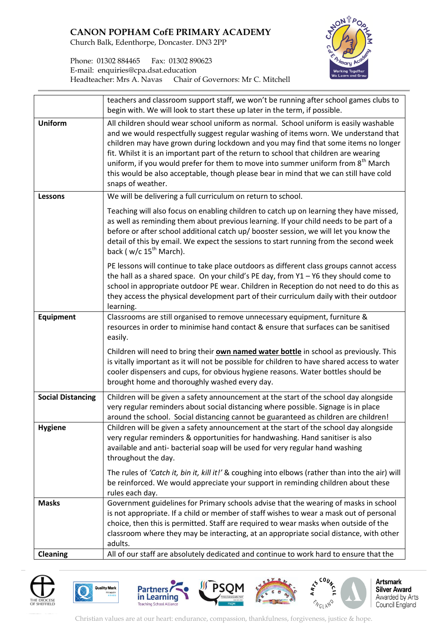Church Balk, Edenthorpe, Doncaster. DN3 2PP



Phone: 01302 884465 Fax: 01302 890623 E-mail: enquiries@cpa.dsat.education Headteacher: Mrs A. Navas Chair of Governors: Mr C. Mitchell

|                          | teachers and classroom support staff, we won't be running after school games clubs to<br>begin with. We will look to start these up later in the term, if possible.                                                                                                                                                                                                                                                                                                                                                                                                      |  |  |  |  |
|--------------------------|--------------------------------------------------------------------------------------------------------------------------------------------------------------------------------------------------------------------------------------------------------------------------------------------------------------------------------------------------------------------------------------------------------------------------------------------------------------------------------------------------------------------------------------------------------------------------|--|--|--|--|
| <b>Uniform</b>           | All children should wear school uniform as normal. School uniform is easily washable<br>and we would respectfully suggest regular washing of items worn. We understand that<br>children may have grown during lockdown and you may find that some items no longer<br>fit. Whilst it is an important part of the return to school that children are wearing<br>uniform, if you would prefer for them to move into summer uniform from 8 <sup>th</sup> March<br>this would be also acceptable, though please bear in mind that we can still have cold<br>snaps of weather. |  |  |  |  |
| Lessons                  | We will be delivering a full curriculum on return to school.                                                                                                                                                                                                                                                                                                                                                                                                                                                                                                             |  |  |  |  |
|                          | Teaching will also focus on enabling children to catch up on learning they have missed,<br>as well as reminding them about previous learning. If your child needs to be part of a<br>before or after school additional catch up/ booster session, we will let you know the<br>detail of this by email. We expect the sessions to start running from the second week<br>back ( $w/c$ 15 <sup>th</sup> March).                                                                                                                                                             |  |  |  |  |
|                          | PE lessons will continue to take place outdoors as different class groups cannot access<br>the hall as a shared space. On your child's PE day, from $Y1 - Y6$ they should come to<br>school in appropriate outdoor PE wear. Children in Reception do not need to do this as<br>they access the physical development part of their curriculum daily with their outdoor<br>learning.                                                                                                                                                                                       |  |  |  |  |
| Equipment                | Classrooms are still organised to remove unnecessary equipment, furniture &<br>resources in order to minimise hand contact & ensure that surfaces can be sanitised<br>easily.                                                                                                                                                                                                                                                                                                                                                                                            |  |  |  |  |
|                          | Children will need to bring their <b>own named water bottle</b> in school as previously. This<br>is vitally important as it will not be possible for children to have shared access to water<br>cooler dispensers and cups, for obvious hygiene reasons. Water bottles should be<br>brought home and thoroughly washed every day.                                                                                                                                                                                                                                        |  |  |  |  |
| <b>Social Distancing</b> | Children will be given a safety announcement at the start of the school day alongside<br>very regular reminders about social distancing where possible. Signage is in place<br>around the school. Social distancing cannot be guaranteed as children are children!                                                                                                                                                                                                                                                                                                       |  |  |  |  |
| <b>Hygiene</b>           | Children will be given a safety announcement at the start of the school day alongside<br>very regular reminders & opportunities for handwashing. Hand sanitiser is also<br>available and anti- bacterial soap will be used for very regular hand washing<br>throughout the day.                                                                                                                                                                                                                                                                                          |  |  |  |  |
|                          | The rules of 'Catch it, bin it, kill it!' & coughing into elbows (rather than into the air) will<br>be reinforced. We would appreciate your support in reminding children about these<br>rules each day.                                                                                                                                                                                                                                                                                                                                                                 |  |  |  |  |
| <b>Masks</b>             | Government guidelines for Primary schools advise that the wearing of masks in school<br>is not appropriate. If a child or member of staff wishes to wear a mask out of personal<br>choice, then this is permitted. Staff are required to wear masks when outside of the<br>classroom where they may be interacting, at an appropriate social distance, with other<br>adults.                                                                                                                                                                                             |  |  |  |  |
| <b>Cleaning</b>          | All of our staff are absolutely dedicated and continue to work hard to ensure that the                                                                                                                                                                                                                                                                                                                                                                                                                                                                                   |  |  |  |  |





ılity Mark









**Artsmark Silver Award** Awarded by Arts Council England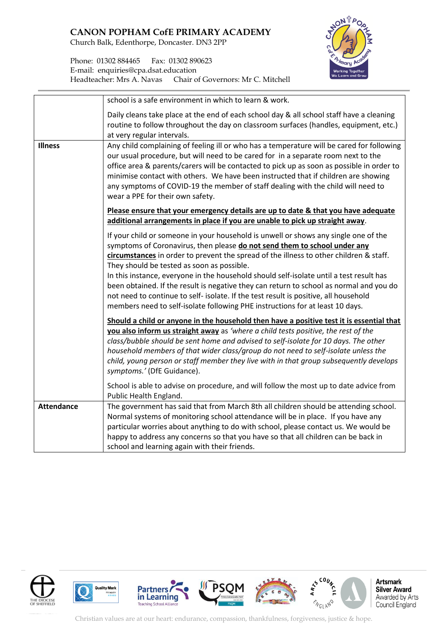Church Balk, Edenthorpe, Doncaster. DN3 2PP



Phone: 01302 884465 Fax: 01302 890623 E-mail: enquiries@cpa.dsat.education Headteacher: Mrs A. Navas Chair of Governors: Mr C. Mitchell

|                   | school is a safe environment in which to learn & work.                                                                                                                                                                                                                                                                                                                                                                                                                                                                                                                                                                                                                  |  |  |  |
|-------------------|-------------------------------------------------------------------------------------------------------------------------------------------------------------------------------------------------------------------------------------------------------------------------------------------------------------------------------------------------------------------------------------------------------------------------------------------------------------------------------------------------------------------------------------------------------------------------------------------------------------------------------------------------------------------------|--|--|--|
|                   | Daily cleans take place at the end of each school day & all school staff have a cleaning<br>routine to follow throughout the day on classroom surfaces (handles, equipment, etc.)<br>at very regular intervals.                                                                                                                                                                                                                                                                                                                                                                                                                                                         |  |  |  |
| <b>Illness</b>    | Any child complaining of feeling ill or who has a temperature will be cared for following<br>our usual procedure, but will need to be cared for in a separate room next to the<br>office area & parents/carers will be contacted to pick up as soon as possible in order to<br>minimise contact with others. We have been instructed that if children are showing<br>any symptoms of COVID-19 the member of staff dealing with the child will need to<br>wear a PPE for their own safety.                                                                                                                                                                               |  |  |  |
|                   | Please ensure that your emergency details are up to date & that you have adequate<br>additional arrangements in place if you are unable to pick up straight away.                                                                                                                                                                                                                                                                                                                                                                                                                                                                                                       |  |  |  |
|                   | If your child or someone in your household is unwell or shows any single one of the<br>symptoms of Coronavirus, then please do not send them to school under any<br>circumstances in order to prevent the spread of the illness to other children & staff.<br>They should be tested as soon as possible.<br>In this instance, everyone in the household should self-isolate until a test result has<br>been obtained. If the result is negative they can return to school as normal and you do<br>not need to continue to self- isolate. If the test result is positive, all household<br>members need to self-isolate following PHE instructions for at least 10 days. |  |  |  |
|                   | Should a child or anyone in the household then have a positive test it is essential that<br>you also inform us straight away as 'where a child tests positive, the rest of the<br>class/bubble should be sent home and advised to self-isolate for 10 days. The other<br>household members of that wider class/group do not need to self-isolate unless the<br>child, young person or staff member they live with in that group subsequently develops<br>symptoms.' (DfE Guidance).                                                                                                                                                                                     |  |  |  |
|                   | School is able to advise on procedure, and will follow the most up to date advice from<br>Public Health England.                                                                                                                                                                                                                                                                                                                                                                                                                                                                                                                                                        |  |  |  |
| <b>Attendance</b> | The government has said that from March 8th all children should be attending school.<br>Normal systems of monitoring school attendance will be in place. If you have any<br>particular worries about anything to do with school, please contact us. We would be<br>happy to address any concerns so that you have so that all children can be back in<br>school and learning again with their friends.                                                                                                                                                                                                                                                                  |  |  |  |